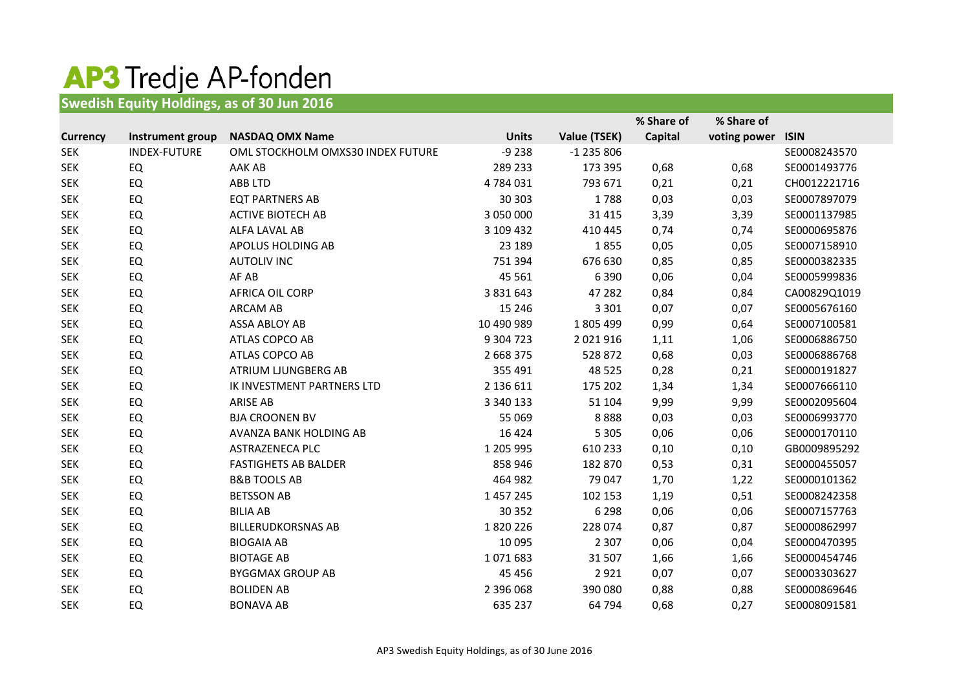## **AP3** Tredje AP-fonden

**Swedish Equity Holdings, as of 30 Jun 2016**

|                 |                  |                                   |               |               | % Share of     | % Share of   |              |
|-----------------|------------------|-----------------------------------|---------------|---------------|----------------|--------------|--------------|
| <b>Currency</b> | Instrument group | <b>NASDAQ OMX Name</b>            | <b>Units</b>  | Value (TSEK)  | <b>Capital</b> | voting power | <b>ISIN</b>  |
| <b>SEK</b>      | INDEX-FUTURE     | OML STOCKHOLM OMXS30 INDEX FUTURE | $-9238$       | $-1$ 235 806  |                |              | SE0008243570 |
| <b>SEK</b>      | EQ               | AAK AB                            | 289 233       | 173 395       | 0,68           | 0,68         | SE0001493776 |
| <b>SEK</b>      | EQ               | ABB LTD                           | 4784031       | 793 671       | 0,21           | 0,21         | CH0012221716 |
| <b>SEK</b>      | <b>EQ</b>        | <b>EQT PARTNERS AB</b>            | 30 30 3       | 1788          | 0,03           | 0,03         | SE0007897079 |
| <b>SEK</b>      | EQ               | <b>ACTIVE BIOTECH AB</b>          | 3 050 000     | 31 4 15       | 3,39           | 3,39         | SE0001137985 |
| <b>SEK</b>      | EQ               | ALFA LAVAL AB                     | 3 109 432     | 410 445       | 0,74           | 0,74         | SE0000695876 |
| <b>SEK</b>      | EQ               | APOLUS HOLDING AB                 | 23 189        | 1855          | 0,05           | 0,05         | SE0007158910 |
| <b>SEK</b>      | EQ               | <b>AUTOLIV INC</b>                | 751 394       | 676 630       | 0,85           | 0,85         | SE0000382335 |
| <b>SEK</b>      | EQ               | AF AB                             | 45 5 61       | 6 3 9 0       | 0,06           | 0,04         | SE0005999836 |
| <b>SEK</b>      | EQ               | <b>AFRICA OIL CORP</b>            | 3 8 3 1 6 4 3 | 47 282        | 0,84           | 0,84         | CA00829Q1019 |
| <b>SEK</b>      | <b>EQ</b>        | <b>ARCAM AB</b>                   | 15 24 6       | 3 3 0 1       | 0,07           | 0,07         | SE0005676160 |
| <b>SEK</b>      | EQ               | ASSA ABLOY AB                     | 10 490 989    | 1805499       | 0,99           | 0,64         | SE0007100581 |
| <b>SEK</b>      | EQ               | ATLAS COPCO AB                    | 9 304 723     | 2 0 2 1 9 1 6 | 1,11           | 1,06         | SE0006886750 |
| <b>SEK</b>      | EQ               | ATLAS COPCO AB                    | 2 668 375     | 528 872       | 0,68           | 0,03         | SE0006886768 |
| <b>SEK</b>      | EQ               | ATRIUM LJUNGBERG AB               | 355 491       | 48 5 25       | 0,28           | 0,21         | SE0000191827 |
| <b>SEK</b>      | EQ               | IK INVESTMENT PARTNERS LTD        | 2 136 611     | 175 202       | 1,34           | 1,34         | SE0007666110 |
| <b>SEK</b>      | EQ               | <b>ARISE AB</b>                   | 3 340 133     | 51 104        | 9,99           | 9,99         | SE0002095604 |
| <b>SEK</b>      | EQ               | <b>BJA CROONEN BV</b>             | 55 069        | 8888          | 0,03           | 0,03         | SE0006993770 |
| <b>SEK</b>      | EQ               | AVANZA BANK HOLDING AB            | 16 4 24       | 5 3 0 5       | 0,06           | 0,06         | SE0000170110 |
| <b>SEK</b>      | EQ               | <b>ASTRAZENECA PLC</b>            | 1 205 995     | 610 233       | 0,10           | 0,10         | GB0009895292 |
| <b>SEK</b>      | EQ               | <b>FASTIGHETS AB BALDER</b>       | 858 946       | 182 870       | 0,53           | 0,31         | SE0000455057 |
| <b>SEK</b>      | EQ               | <b>B&amp;B TOOLS AB</b>           | 464 982       | 79 047        | 1,70           | 1,22         | SE0000101362 |
| <b>SEK</b>      | <b>EQ</b>        | <b>BETSSON AB</b>                 | 1 457 245     | 102 153       | 1,19           | 0,51         | SE0008242358 |
| <b>SEK</b>      | EQ               | <b>BILIA AB</b>                   | 30 352        | 6 2 9 8       | 0,06           | 0,06         | SE0007157763 |
| <b>SEK</b>      | EQ               | <b>BILLERUDKORSNAS AB</b>         | 1820226       | 228 074       | 0,87           | 0,87         | SE0000862997 |
| <b>SEK</b>      | EQ               | <b>BIOGAIA AB</b>                 | 10 095        | 2 3 0 7       | 0,06           | 0,04         | SE0000470395 |
| <b>SEK</b>      | EQ               | <b>BIOTAGE AB</b>                 | 1071683       | 31 507        | 1,66           | 1,66         | SE0000454746 |
| <b>SEK</b>      | EQ               | <b>BYGGMAX GROUP AB</b>           | 45 4 5 6      | 2921          | 0,07           | 0,07         | SE0003303627 |
| <b>SEK</b>      | EQ               | <b>BOLIDEN AB</b>                 | 2 396 068     | 390 080       | 0,88           | 0,88         | SE0000869646 |
| <b>SEK</b>      | EQ               | <b>BONAVA AB</b>                  | 635 237       | 64 794        | 0,68           | 0,27         | SE0008091581 |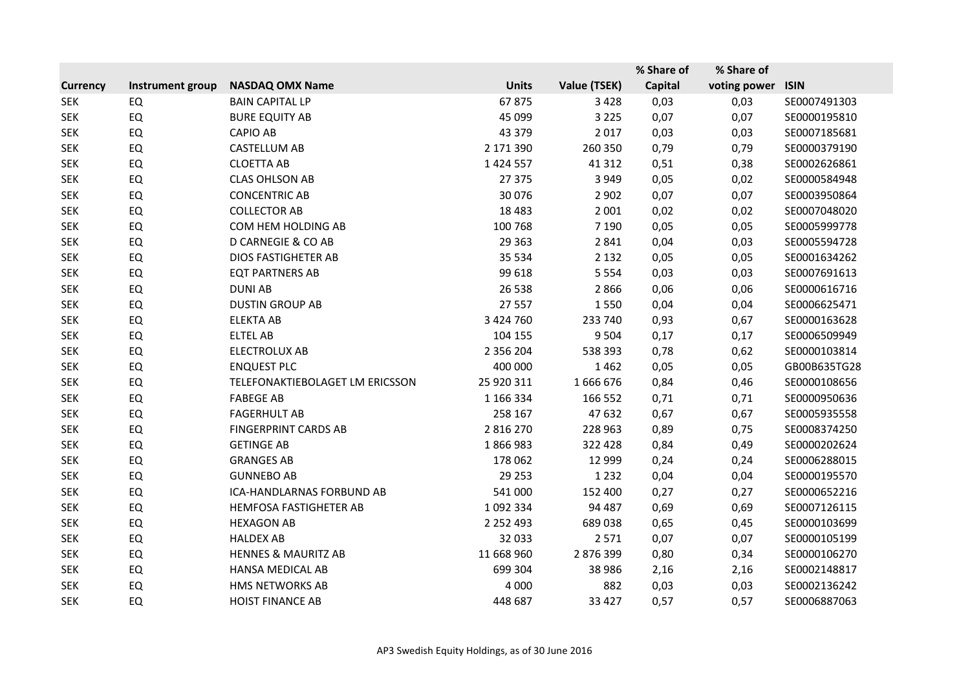|                 |                  |                                 |               |              | % Share of | % Share of   |              |
|-----------------|------------------|---------------------------------|---------------|--------------|------------|--------------|--------------|
| <b>Currency</b> | Instrument group | <b>NASDAQ OMX Name</b>          | <b>Units</b>  | Value (TSEK) | Capital    | voting power | <b>ISIN</b>  |
| <b>SEK</b>      | EQ               | <b>BAIN CAPITAL LP</b>          | 67875         | 3 4 2 8      | 0,03       | 0,03         | SE0007491303 |
| <b>SEK</b>      | EQ               | <b>BURE EQUITY AB</b>           | 45 099        | 3 2 2 5      | 0,07       | 0,07         | SE0000195810 |
| <b>SEK</b>      | EQ               | <b>CAPIO AB</b>                 | 43 379        | 2 0 1 7      | 0,03       | 0,03         | SE0007185681 |
| <b>SEK</b>      | <b>EQ</b>        | CASTELLUM AB                    | 2 171 390     | 260 350      | 0,79       | 0,79         | SE0000379190 |
| <b>SEK</b>      | EQ               | <b>CLOETTA AB</b>               | 1 4 2 4 5 5 7 | 41 312       | 0,51       | 0,38         | SE0002626861 |
| <b>SEK</b>      | EQ               | <b>CLAS OHLSON AB</b>           | 27 375        | 3 9 4 9      | 0,05       | 0,02         | SE0000584948 |
| <b>SEK</b>      | EQ               | <b>CONCENTRIC AB</b>            | 30 0 76       | 2 9 0 2      | 0,07       | 0,07         | SE0003950864 |
| <b>SEK</b>      | EQ               | <b>COLLECTOR AB</b>             | 18 4 83       | 2 0 0 1      | 0,02       | 0,02         | SE0007048020 |
| <b>SEK</b>      | EQ               | COM HEM HOLDING AB              | 100 768       | 7 1 9 0      | 0,05       | 0,05         | SE0005999778 |
| <b>SEK</b>      | EQ               | <b>D CARNEGIE &amp; CO AB</b>   | 29 3 63       | 2 8 4 1      | 0,04       | 0,03         | SE0005594728 |
| <b>SEK</b>      | EQ               | <b>DIOS FASTIGHETER AB</b>      | 35 5 34       | 2 1 3 2      | 0,05       | 0,05         | SE0001634262 |
| <b>SEK</b>      | <b>EQ</b>        | <b>EQT PARTNERS AB</b>          | 99 618        | 5 5 5 4      | 0,03       | 0,03         | SE0007691613 |
| <b>SEK</b>      | EQ               | <b>DUNI AB</b>                  | 26 5 38       | 2866         | 0,06       | 0,06         | SE0000616716 |
| <b>SEK</b>      | <b>EQ</b>        | <b>DUSTIN GROUP AB</b>          | 27 557        | 1550         | 0,04       | 0,04         | SE0006625471 |
| <b>SEK</b>      | <b>EQ</b>        | <b>ELEKTA AB</b>                | 3 424 760     | 233 740      | 0,93       | 0,67         | SE0000163628 |
| <b>SEK</b>      | <b>EQ</b>        | <b>ELTEL AB</b>                 | 104 155       | 9 5 0 4      | 0,17       | 0,17         | SE0006509949 |
| <b>SEK</b>      | EQ               | <b>ELECTROLUX AB</b>            | 2 356 204     | 538 393      | 0,78       | 0,62         | SE0000103814 |
| <b>SEK</b>      | EQ               | <b>ENQUEST PLC</b>              | 400 000       | 1462         | 0,05       | 0,05         | GB00B635TG28 |
| <b>SEK</b>      | EQ               | TELEFONAKTIEBOLAGET LM ERICSSON | 25 920 311    | 1666676      | 0,84       | 0,46         | SE0000108656 |
| <b>SEK</b>      | EQ               | <b>FABEGE AB</b>                | 1 166 334     | 166 552      | 0,71       | 0,71         | SE0000950636 |
| <b>SEK</b>      | EQ               | <b>FAGERHULT AB</b>             | 258 167       | 47 632       | 0,67       | 0,67         | SE0005935558 |
| <b>SEK</b>      | EQ               | <b>FINGERPRINT CARDS AB</b>     | 2 816 270     | 228 963      | 0,89       | 0,75         | SE0008374250 |
| <b>SEK</b>      | <b>EQ</b>        | <b>GETINGE AB</b>               | 1866983       | 322 428      | 0,84       | 0,49         | SE0000202624 |
| <b>SEK</b>      | EQ               | <b>GRANGES AB</b>               | 178 062       | 12 999       | 0,24       | 0,24         | SE0006288015 |
| <b>SEK</b>      | EQ               | <b>GUNNEBO AB</b>               | 29 25 3       | 1 2 3 2      | 0,04       | 0,04         | SE0000195570 |
| <b>SEK</b>      | EQ               | ICA-HANDLARNAS FORBUND AB       | 541 000       | 152 400      | 0,27       | 0,27         | SE0000652216 |
| <b>SEK</b>      | <b>EQ</b>        | HEMFOSA FASTIGHETER AB          | 1 092 334     | 94 487       | 0,69       | 0,69         | SE0007126115 |
| <b>SEK</b>      | EQ               | <b>HEXAGON AB</b>               | 2 2 5 2 4 9 3 | 689 038      | 0,65       | 0,45         | SE0000103699 |
| <b>SEK</b>      | EQ               | <b>HALDEX AB</b>                | 32 033        | 2 5 7 1      | 0,07       | 0,07         | SE0000105199 |
| <b>SEK</b>      | EQ               | <b>HENNES &amp; MAURITZ AB</b>  | 11 668 960    | 2 876 399    | 0,80       | 0,34         | SE0000106270 |
| <b>SEK</b>      | EQ               | <b>HANSA MEDICAL AB</b>         | 699 304       | 38 986       | 2,16       | 2,16         | SE0002148817 |
| <b>SEK</b>      | <b>EQ</b>        | HMS NETWORKS AB                 | 4 0 0 0       | 882          | 0,03       | 0,03         | SE0002136242 |
| <b>SEK</b>      | <b>EQ</b>        | <b>HOIST FINANCE AB</b>         | 448 687       | 33 4 27      | 0,57       | 0,57         | SE0006887063 |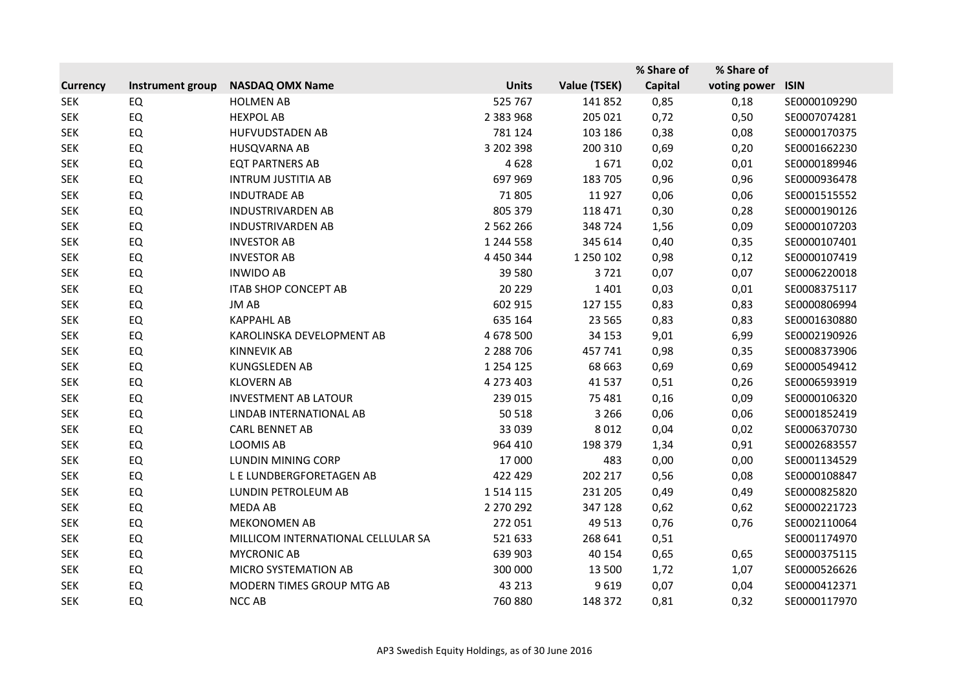|                 |                  |                                    |               |              | % Share of     | % Share of   |              |
|-----------------|------------------|------------------------------------|---------------|--------------|----------------|--------------|--------------|
| <b>Currency</b> | Instrument group | <b>NASDAQ OMX Name</b>             | <b>Units</b>  | Value (TSEK) | <b>Capital</b> | voting power | <b>ISIN</b>  |
| <b>SEK</b>      | <b>EQ</b>        | <b>HOLMEN AB</b>                   | 525 767       | 141 852      | 0,85           | 0,18         | SE0000109290 |
| <b>SEK</b>      | EQ               | <b>HEXPOL AB</b>                   | 2 383 968     | 205 021      | 0,72           | 0,50         | SE0007074281 |
| <b>SEK</b>      | EQ               | <b>HUFVUDSTADEN AB</b>             | 781 124       | 103 186      | 0,38           | 0,08         | SE0000170375 |
| <b>SEK</b>      | EQ               | HUSQVARNA AB                       | 3 202 398     | 200 310      | 0,69           | 0,20         | SE0001662230 |
| <b>SEK</b>      | EQ               | <b>EQT PARTNERS AB</b>             | 4628          | 1671         | 0,02           | 0,01         | SE0000189946 |
| <b>SEK</b>      | EQ               | <b>INTRUM JUSTITIA AB</b>          | 697 969       | 183 705      | 0,96           | 0,96         | SE0000936478 |
| <b>SEK</b>      | EQ               | <b>INDUTRADE AB</b>                | 71 805        | 11927        | 0,06           | 0,06         | SE0001515552 |
| <b>SEK</b>      | <b>EQ</b>        | <b>INDUSTRIVARDEN AB</b>           | 805 379       | 118 471      | 0,30           | 0,28         | SE0000190126 |
| <b>SEK</b>      | EQ               | <b>INDUSTRIVARDEN AB</b>           | 2 5 6 2 2 6 6 | 348 724      | 1,56           | 0,09         | SE0000107203 |
| <b>SEK</b>      | EQ               | <b>INVESTOR AB</b>                 | 1 244 558     | 345 614      | 0,40           | 0,35         | SE0000107401 |
| <b>SEK</b>      | EQ               | <b>INVESTOR AB</b>                 | 4 4 5 0 3 4 4 | 1 250 102    | 0,98           | 0,12         | SE0000107419 |
| <b>SEK</b>      | EQ               | <b>INWIDO AB</b>                   | 39 5 80       | 3721         | 0,07           | 0,07         | SE0006220018 |
| <b>SEK</b>      | EQ               | <b>ITAB SHOP CONCEPT AB</b>        | 20 229        | 1401         | 0,03           | 0,01         | SE0008375117 |
| <b>SEK</b>      | EQ               | JM AB                              | 602 915       | 127 155      | 0,83           | 0,83         | SE0000806994 |
| <b>SEK</b>      | EQ               | <b>KAPPAHL AB</b>                  | 635 164       | 23 5 65      | 0,83           | 0,83         | SE0001630880 |
| <b>SEK</b>      | EQ               | KAROLINSKA DEVELOPMENT AB          | 4 678 500     | 34 153       | 9,01           | 6,99         | SE0002190926 |
| <b>SEK</b>      | EQ               | <b>KINNEVIK AB</b>                 | 2 2 8 7 0 6   | 457741       | 0,98           | 0,35         | SE0008373906 |
| <b>SEK</b>      | EQ               | <b>KUNGSLEDEN AB</b>               | 1 2 5 4 1 2 5 | 68 663       | 0,69           | 0,69         | SE0000549412 |
| <b>SEK</b>      | EQ               | <b>KLOVERN AB</b>                  | 4 273 403     | 41 5 37      | 0,51           | 0,26         | SE0006593919 |
| <b>SEK</b>      | EQ               | <b>INVESTMENT AB LATOUR</b>        | 239 015       | 75 481       | 0,16           | 0,09         | SE0000106320 |
| <b>SEK</b>      | EQ               | LINDAB INTERNATIONAL AB            | 50 518        | 3 2 6 6      | 0,06           | 0,06         | SE0001852419 |
| <b>SEK</b>      | EQ               | <b>CARL BENNET AB</b>              | 33 039        | 8 0 1 2      | 0,04           | 0,02         | SE0006370730 |
| <b>SEK</b>      | <b>EQ</b>        | <b>LOOMIS AB</b>                   | 964 410       | 198 379      | 1,34           | 0,91         | SE0002683557 |
| <b>SEK</b>      | EQ               | <b>LUNDIN MINING CORP</b>          | 17 000        | 483          | 0,00           | 0,00         | SE0001134529 |
| <b>SEK</b>      | EQ               | L E LUNDBERGFORETAGEN AB           | 422 429       | 202 217      | 0,56           | 0,08         | SE0000108847 |
| <b>SEK</b>      | EQ               | LUNDIN PETROLEUM AB                | 1 5 1 4 1 1 5 | 231 205      | 0,49           | 0,49         | SE0000825820 |
| <b>SEK</b>      | EQ               | MEDA AB                            | 2 270 292     | 347 128      | 0,62           | 0,62         | SE0000221723 |
| <b>SEK</b>      | EQ               | <b>MEKONOMEN AB</b>                | 272 051       | 49 513       | 0,76           | 0,76         | SE0002110064 |
| <b>SEK</b>      | EQ               | MILLICOM INTERNATIONAL CELLULAR SA | 521 633       | 268 641      | 0,51           |              | SE0001174970 |
| <b>SEK</b>      | EQ               | <b>MYCRONIC AB</b>                 | 639 903       | 40 154       | 0,65           | 0,65         | SE0000375115 |
| <b>SEK</b>      | EQ               | MICRO SYSTEMATION AB               | 300 000       | 13 500       | 1,72           | 1,07         | SE0000526626 |
| <b>SEK</b>      | <b>EQ</b>        | MODERN TIMES GROUP MTG AB          | 43 213        | 9619         | 0,07           | 0,04         | SE0000412371 |
| <b>SEK</b>      | EQ               | <b>NCC AB</b>                      | 760 880       | 148 372      | 0,81           | 0,32         | SE0000117970 |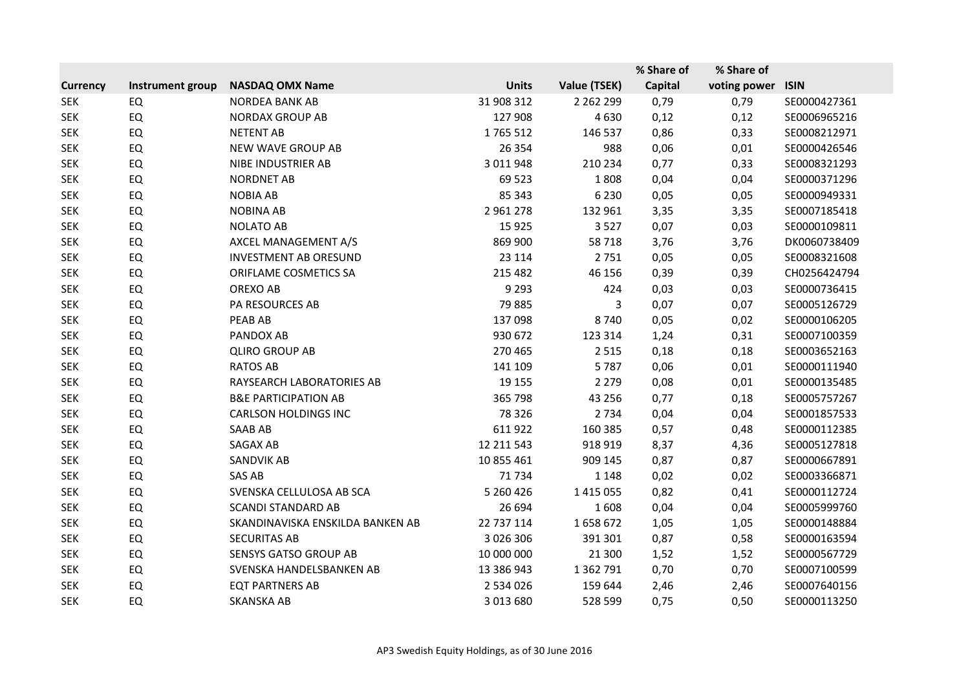|                 |                  |                                  |               |               | % Share of     | % Share of   |              |
|-----------------|------------------|----------------------------------|---------------|---------------|----------------|--------------|--------------|
| <b>Currency</b> | Instrument group | <b>NASDAQ OMX Name</b>           | <b>Units</b>  | Value (TSEK)  | <b>Capital</b> | voting power | <b>ISIN</b>  |
| <b>SEK</b>      | EQ               | <b>NORDEA BANK AB</b>            | 31 908 312    | 2 2 6 2 2 9 9 | 0,79           | 0,79         | SE0000427361 |
| <b>SEK</b>      | EQ               | <b>NORDAX GROUP AB</b>           | 127 908       | 4 6 3 0       | 0,12           | 0,12         | SE0006965216 |
| <b>SEK</b>      | EQ               | <b>NETENT AB</b>                 | 1765 512      | 146 537       | 0,86           | 0,33         | SE0008212971 |
| <b>SEK</b>      | EQ               | NEW WAVE GROUP AB                | 26 3 54       | 988           | 0,06           | 0,01         | SE0000426546 |
| <b>SEK</b>      | <b>EQ</b>        | NIBE INDUSTRIER AB               | 3 011 948     | 210 234       | 0,77           | 0,33         | SE0008321293 |
| <b>SEK</b>      | <b>EQ</b>        | <b>NORDNET AB</b>                | 69 523        | 1808          | 0,04           | 0,04         | SE0000371296 |
| <b>SEK</b>      | EQ               | <b>NOBIA AB</b>                  | 85 343        | 6 2 3 0       | 0,05           | 0,05         | SE0000949331 |
| <b>SEK</b>      | <b>EQ</b>        | <b>NOBINA AB</b>                 | 2 961 278     | 132 961       | 3,35           | 3,35         | SE0007185418 |
| <b>SEK</b>      | <b>EQ</b>        | <b>NOLATO AB</b>                 | 15 9 25       | 3527          | 0,07           | 0,03         | SE0000109811 |
| <b>SEK</b>      | <b>EQ</b>        | AXCEL MANAGEMENT A/S             | 869 900       | 58718         | 3,76           | 3,76         | DK0060738409 |
| <b>SEK</b>      | <b>EQ</b>        | <b>INVESTMENT AB ORESUND</b>     | 23 114        | 2 7 5 1       | 0,05           | 0,05         | SE0008321608 |
| <b>SEK</b>      | <b>EQ</b>        | ORIFLAME COSMETICS SA            | 215 482       | 46 156        | 0,39           | 0,39         | CH0256424794 |
| <b>SEK</b>      | <b>EQ</b>        | OREXO AB                         | 9 2 9 3       | 424           | 0,03           | 0,03         | SE0000736415 |
| <b>SEK</b>      | <b>EQ</b>        | PA RESOURCES AB                  | 79 885        | 3             | 0,07           | 0,07         | SE0005126729 |
| <b>SEK</b>      | EQ               | PEAB AB                          | 137 098       | 8740          | 0,05           | 0,02         | SE0000106205 |
| <b>SEK</b>      | EQ               | PANDOX AB                        | 930 672       | 123 314       | 1,24           | 0,31         | SE0007100359 |
| <b>SEK</b>      | <b>EQ</b>        | <b>QLIRO GROUP AB</b>            | 270 465       | 2 5 1 5       | 0,18           | 0,18         | SE0003652163 |
| <b>SEK</b>      | <b>EQ</b>        | <b>RATOS AB</b>                  | 141 109       | 5787          | 0,06           | 0,01         | SE0000111940 |
| <b>SEK</b>      | <b>EQ</b>        | RAYSEARCH LABORATORIES AB        | 19 15 5       | 2 2 7 9       | 0,08           | 0,01         | SE0000135485 |
| <b>SEK</b>      | <b>EQ</b>        | <b>B&amp;E PARTICIPATION AB</b>  | 365 798       | 43 25 6       | 0,77           | 0,18         | SE0005757267 |
| <b>SEK</b>      | <b>EQ</b>        | <b>CARLSON HOLDINGS INC</b>      | 78 326        | 2 7 3 4       | 0,04           | 0,04         | SE0001857533 |
| <b>SEK</b>      | EQ               | <b>SAAB AB</b>                   | 611 922       | 160 385       | 0,57           | 0,48         | SE0000112385 |
| <b>SEK</b>      | <b>EQ</b>        | <b>SAGAX AB</b>                  | 12 211 543    | 918 919       | 8,37           | 4,36         | SE0005127818 |
| <b>SEK</b>      | EQ               | SANDVIK AB                       | 10 855 461    | 909 145       | 0,87           | 0,87         | SE0000667891 |
| <b>SEK</b>      | <b>EQ</b>        | SAS AB                           | 71734         | 1 1 4 8       | 0,02           | 0,02         | SE0003366871 |
| <b>SEK</b>      | <b>EQ</b>        | SVENSKA CELLULOSA AB SCA         | 5 260 426     | 1 4 1 5 0 5 5 | 0,82           | 0,41         | SE0000112724 |
| <b>SEK</b>      | <b>EQ</b>        | <b>SCANDI STANDARD AB</b>        | 26 694        | 1608          | 0,04           | 0,04         | SE0005999760 |
| <b>SEK</b>      | <b>EQ</b>        | SKANDINAVISKA ENSKILDA BANKEN AB | 22 737 114    | 1658672       | 1,05           | 1,05         | SE0000148884 |
| <b>SEK</b>      | <b>EQ</b>        | <b>SECURITAS AB</b>              | 3 0 2 6 3 0 6 | 391 301       | 0,87           | 0,58         | SE0000163594 |
| <b>SEK</b>      | EQ               | <b>SENSYS GATSO GROUP AB</b>     | 10 000 000    | 21 300        | 1,52           | 1,52         | SE0000567729 |
| <b>SEK</b>      | <b>EQ</b>        | SVENSKA HANDELSBANKEN AB         | 13 386 943    | 1 362 791     | 0,70           | 0,70         | SE0007100599 |
| <b>SEK</b>      | EQ               | <b>EQT PARTNERS AB</b>           | 2 534 026     | 159 644       | 2,46           | 2,46         | SE0007640156 |
| <b>SEK</b>      | EQ               | <b>SKANSKA AB</b>                | 3 013 680     | 528 599       | 0,75           | 0,50         | SE0000113250 |